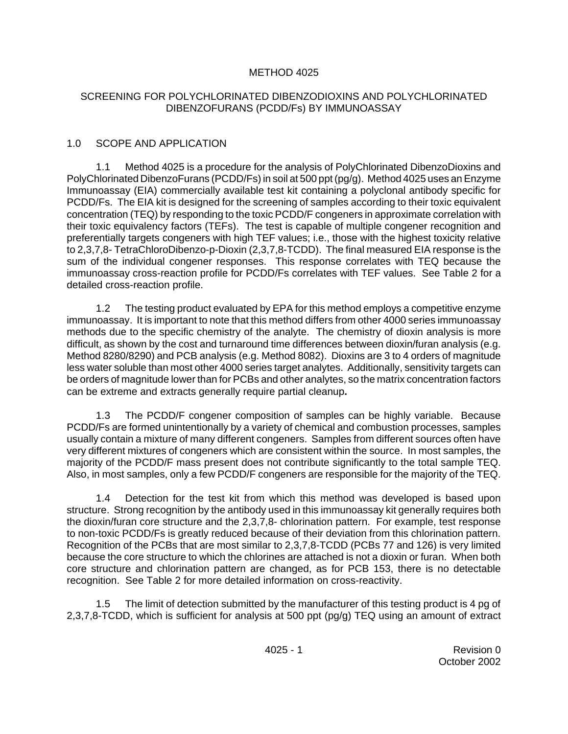## METHOD 4025

### SCREENING FOR POLYCHLORINATED DIBENZODIOXINS AND POLYCHLORINATED DIBENZOFURANS (PCDD/Fs) BY IMMUNOASSAY

## 1.0 SCOPE AND APPLICATION

1.1 Method 4025 is a procedure for the analysis of PolyChlorinated DibenzoDioxins and PolyChlorinated DibenzoFurans (PCDD/Fs) in soil at 500 ppt (pg/g). Method 4025 uses an Enzyme Immunoassay (EIA) commercially available test kit containing a polyclonal antibody specific for PCDD/Fs. The EIA kit is designed for the screening of samples according to their toxic equivalent concentration (TEQ) by responding to the toxic PCDD/F congeners in approximate correlation with their toxic equivalency factors (TEFs). The test is capable of multiple congener recognition and preferentially targets congeners with high TEF values; i.e., those with the highest toxicity relative to 2,3,7,8- TetraChloroDibenzo-p-Dioxin (2,3,7,8-TCDD). The final measured EIA response is the sum of the individual congener responses. This response correlates with TEQ because the immunoassay cross-reaction profile for PCDD/Fs correlates with TEF values. See Table 2 for a detailed cross-reaction profile.

1.2 The testing product evaluated by EPA for this method employs a competitive enzyme immunoassay. It is important to note that this method differs from other 4000 series immunoassay methods due to the specific chemistry of the analyte. The chemistry of dioxin analysis is more difficult, as shown by the cost and turnaround time differences between dioxin/furan analysis (e.g. Method 8280/8290) and PCB analysis (e.g. Method 8082). Dioxins are 3 to 4 orders of magnitude less water soluble than most other 4000 series target analytes. Additionally, sensitivity targets can be orders of magnitude lower than for PCBs and other analytes, so the matrix concentration factors can be extreme and extracts generally require partial cleanup**.** 

1.3 The PCDD/F congener composition of samples can be highly variable. Because PCDD/Fs are formed unintentionally by a variety of chemical and combustion processes, samples usually contain a mixture of many different congeners. Samples from different sources often have very different mixtures of congeners which are consistent within the source. In most samples, the majority of the PCDD/F mass present does not contribute significantly to the total sample TEQ. Also, in most samples, only a few PCDD/F congeners are responsible for the majority of the TEQ.

1.4 Detection for the test kit from which this method was developed is based upon structure. Strong recognition by the antibody used in this immunoassay kit generally requires both the dioxin/furan core structure and the 2,3,7,8- chlorination pattern. For example, test response to non-toxic PCDD/Fs is greatly reduced because of their deviation from this chlorination pattern. Recognition of the PCBs that are most similar to 2,3,7,8-TCDD (PCBs 77 and 126) is very limited because the core structure to which the chlorines are attached is not a dioxin or furan. When both core structure and chlorination pattern are changed, as for PCB 153, there is no detectable recognition. See Table 2 for more detailed information on cross-reactivity.

1.5 The limit of detection submitted by the manufacturer of this testing product is 4 pg of 2,3,7,8-TCDD, which is sufficient for analysis at 500 ppt (pg/g) TEQ using an amount of extract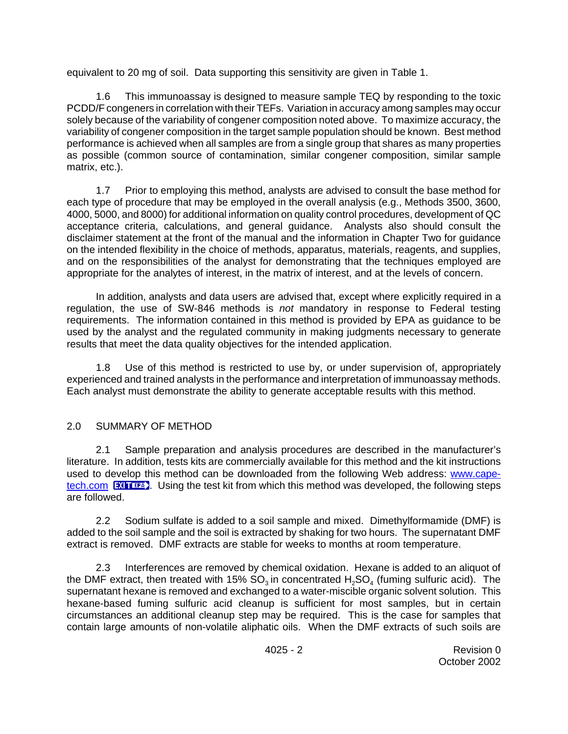equivalent to 20 mg of soil. Data supporting this sensitivity are given in Table 1.

1.6 This immunoassay is designed to measure sample TEQ by responding to the toxic PCDD/F congeners in correlation with their TEFs. Variation in accuracy among samples may occur solely because of the variability of congener composition noted above. To maximize accuracy, the variability of congener composition in the target sample population should be known. Best method performance is achieved when all samples are from a single group that shares as many properties as possible (common source of contamination, similar congener composition, similar sample matrix, etc.).

1.7 Prior to employing this method, analysts are advised to consult the base method for each type of procedure that may be employed in the overall analysis (e.g., Methods 3500, 3600, 4000, 5000, and 8000) for additional information on quality control procedures, development of QC acceptance criteria, calculations, and general guidance. Analysts also should consult the disclaimer statement at the front of the manual and the information in Chapter Two for guidance on the intended flexibility in the choice of methods, apparatus, materials, reagents, and supplies, and on the responsibilities of the analyst for demonstrating that the techniques employed are appropriate for the analytes of interest, in the matrix of interest, and at the levels of concern.

In addition, analysts and data users are advised that, except where explicitly required in a regulation, the use of SW-846 methods is *not* mandatory in response to Federal testing requirements. The information contained in this method is provided by EPA as guidance to be used by the analyst and the regulated community in making judgments necessary to generate results that meet the data quality objectives for the intended application.

1.8 Use of this method is restricted to use by, or under supervision of, appropriately experienced and trained analysts in the performance and interpretation of immunoassay methods. Each analyst must demonstrate the ability to generate acceptable results with this method.

## 2.0 SUMMARY OF METHOD

2.1 Sample preparation and analysis procedures are described in the manufacturer's literature. In addition, tests kits are commercially available for this method and the kit instructions used to develop this method can be downloaded from the following Web address: [www.cape](http://www.cape-tech.com)[tech.com](http://www.cape-tech.com)  $\overline{EM}$   $\overline{EM}$ [.](http://www.epa.gov/epaoswer/osw/disclaimer.htm) Using the test kit from which this method was developed, the following steps are followed.

2.2 Sodium sulfate is added to a soil sample and mixed. Dimethylformamide (DMF) is added to the soil sample and the soil is extracted by shaking for two hours. The supernatant DMF extract is removed. DMF extracts are stable for weeks to months at room temperature.

2.3 Interferences are removed by chemical oxidation. Hexane is added to an aliquot of the DMF extract, then treated with 15% SO<sub>3</sub> in concentrated  $\mathsf{H}_2\mathsf{SO}_4$  (fuming sulfuric acid). The supernatant hexane is removed and exchanged to a water-miscible organic solvent solution. This hexane-based fuming sulfuric acid cleanup is sufficient for most samples, but in certain circumstances an additional cleanup step may be required. This is the case for samples that contain large amounts of non-volatile aliphatic oils. When the DMF extracts of such soils are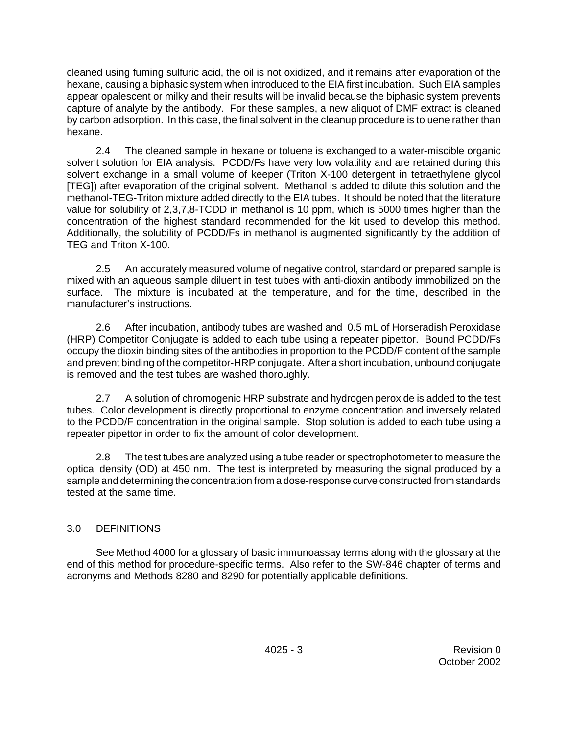cleaned using fuming sulfuric acid, the oil is not oxidized, and it remains after evaporation of the hexane, causing a biphasic system when introduced to the EIA first incubation. Such EIA samples appear opalescent or milky and their results will be invalid because the biphasic system prevents capture of analyte by the antibody. For these samples, a new aliquot of DMF extract is cleaned by carbon adsorption. In this case, the final solvent in the cleanup procedure is toluene rather than hexane.

2.4 The cleaned sample in hexane or toluene is exchanged to a water-miscible organic solvent solution for EIA analysis. PCDD/Fs have very low volatility and are retained during this solvent exchange in a small volume of keeper (Triton X-100 detergent in tetraethylene glycol [TEG]) after evaporation of the original solvent. Methanol is added to dilute this solution and the methanol-TEG-Triton mixture added directly to the EIA tubes. It should be noted that the literature value for solubility of 2,3,7,8-TCDD in methanol is 10 ppm, which is 5000 times higher than the concentration of the highest standard recommended for the kit used to develop this method. Additionally, the solubility of PCDD/Fs in methanol is augmented significantly by the addition of TEG and Triton X-100.

2.5 An accurately measured volume of negative control, standard or prepared sample is mixed with an aqueous sample diluent in test tubes with anti-dioxin antibody immobilized on the surface. The mixture is incubated at the temperature, and for the time, described in the manufacturer's instructions.

2.6 After incubation, antibody tubes are washed and 0.5 mL of Horseradish Peroxidase (HRP) Competitor Conjugate is added to each tube using a repeater pipettor. Bound PCDD/Fs occupy the dioxin binding sites of the antibodies in proportion to the PCDD/F content of the sample and prevent binding of the competitor-HRP conjugate. After a short incubation, unbound conjugate is removed and the test tubes are washed thoroughly.

2.7 A solution of chromogenic HRP substrate and hydrogen peroxide is added to the test tubes. Color development is directly proportional to enzyme concentration and inversely related to the PCDD/F concentration in the original sample. Stop solution is added to each tube using a repeater pipettor in order to fix the amount of color development.

2.8 The test tubes are analyzed using a tube reader or spectrophotometer to measure the optical density (OD) at 450 nm. The test is interpreted by measuring the signal produced by a sample and determining the concentration from a dose-response curve constructed from standards tested at the same time.

## 3.0 DEFINITIONS

See Method 4000 for a glossary of basic immunoassay terms along with the glossary at the end of this method for procedure-specific terms. Also refer to the SW-846 chapter of terms and acronyms and Methods 8280 and 8290 for potentially applicable definitions.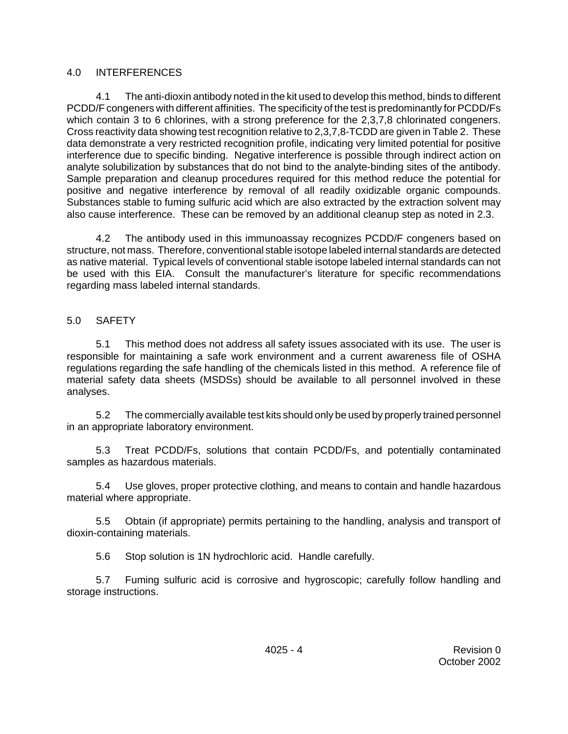## 4.0 INTERFERENCES

4.1 The anti-dioxin antibody noted in the kit used to develop this method, binds to different PCDD/F congeners with different affinities. The specificity of the test is predominantly for PCDD/Fs which contain 3 to 6 chlorines, with a strong preference for the 2,3,7,8 chlorinated congeners. Cross reactivity data showing test recognition relative to 2,3,7,8-TCDD are given in Table 2. These data demonstrate a very restricted recognition profile, indicating very limited potential for positive interference due to specific binding. Negative interference is possible through indirect action on analyte solubilization by substances that do not bind to the analyte-binding sites of the antibody. Sample preparation and cleanup procedures required for this method reduce the potential for positive and negative interference by removal of all readily oxidizable organic compounds. Substances stable to fuming sulfuric acid which are also extracted by the extraction solvent may also cause interference. These can be removed by an additional cleanup step as noted in 2.3.

4.2 The antibody used in this immunoassay recognizes PCDD/F congeners based on structure, not mass. Therefore, conventional stable isotope labeled internal standards are detected as native material. Typical levels of conventional stable isotope labeled internal standards can not be used with this EIA. Consult the manufacturer's literature for specific recommendations regarding mass labeled internal standards.

5.0 SAFETY

5.1 This method does not address all safety issues associated with its use. The user is responsible for maintaining a safe work environment and a current awareness file of OSHA regulations regarding the safe handling of the chemicals listed in this method. A reference file of material safety data sheets (MSDSs) should be available to all personnel involved in these analyses.

5.2 The commercially available test kits should only be used by properly trained personnel in an appropriate laboratory environment.

5.3 Treat PCDD/Fs, solutions that contain PCDD/Fs, and potentially contaminated samples as hazardous materials.

5.4 Use gloves, proper protective clothing, and means to contain and handle hazardous material where appropriate.

5.5 Obtain (if appropriate) permits pertaining to the handling, analysis and transport of dioxin-containing materials.

5.6 Stop solution is 1N hydrochloric acid. Handle carefully.

5.7 Fuming sulfuric acid is corrosive and hygroscopic; carefully follow handling and storage instructions.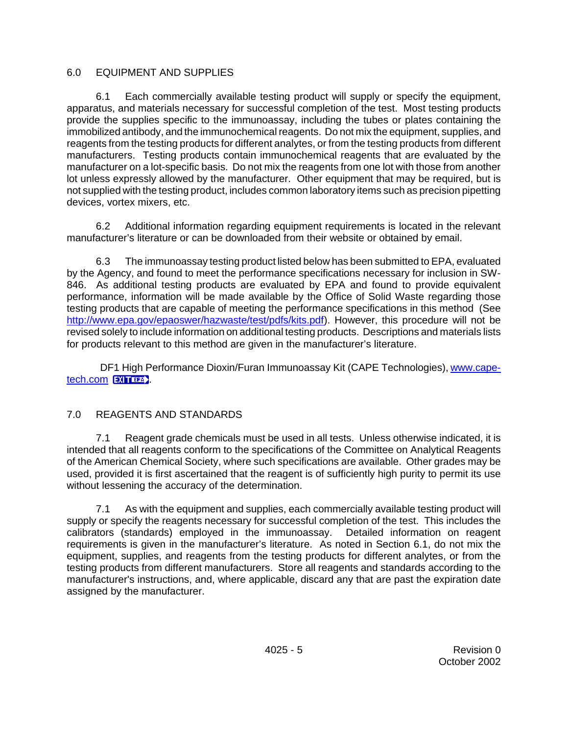## 6.0 EQUIPMENT AND SUPPLIES

6.1 Each commercially available testing product will supply or specify the equipment, apparatus, and materials necessary for successful completion of the test. Most testing products provide the supplies specific to the immunoassay, including the tubes or plates containing the immobilized antibody, and the immunochemical reagents. Do not mix the equipment, supplies, and reagents from the testing products for different analytes, or from the testing products from different manufacturers. Testing products contain immunochemical reagents that are evaluated by the manufacturer on a lot-specific basis. Do not mix the reagents from one lot with those from another lot unless expressly allowed by the manufacturer. Other equipment that may be required, but is not supplied with the testing product, includes common laboratory items such as precision pipetting devices, vortex mixers, etc.

6.2 Additional information regarding equipment requirements is located in the relevant manufacturer's literature or can be downloaded from their website or obtained by email.

6.3 The immunoassay testing product listed below has been submitted to EPA, evaluated by the Agency, and found to meet the performance specifications necessary for inclusion in SW-846. As additional testing products are evaluated by EPA and found to provide equivalent performance, information will be made available by the Office of Solid Waste regarding those testing products that are capable of meeting the performance specifications in this method (See [http://www.epa.gov/epaoswer/hazwaste/test/pdfs/kits.pdf\).](http://www.epa.gov/epaoswer/hazwaste/test/pdfs/kits.pdf) However, this procedure will not be revised solely to include information on additional testing products. Descriptions and materials lists for products relevant to this method are given in the manufacturer's literature.

DF1 High Performance Dioxin/Furan Immunoassay Kit (CAPE Technologies), [www.cape](http://www.cape-tech.com)[tech.com](http://www.cape-tech.com) **EXITER** 

## 7.0 REAGENTS AND STANDARDS

7.1 Reagent grade chemicals must be used in all tests. Unless otherwise indicated, it is intended that all reagents conform to the specifications of the Committee on Analytical Reagents of the American Chemical Society, where such specifications are available. Other grades may be used, provided it is first ascertained that the reagent is of sufficiently high purity to permit its use without lessening the accuracy of the determination.

7.1 As with the equipment and supplies, each commercially available testing product will supply or specify the reagents necessary for successful completion of the test. This includes the calibrators (standards) employed in the immunoassay. Detailed information on reagent requirements is given in the manufacturer's literature. As noted in Section 6.1, do not mix the equipment, supplies, and reagents from the testing products for different analytes, or from the testing products from different manufacturers. Store all reagents and standards according to the manufacturer's instructions, and, where applicable, discard any that are past the expiration date assigned by the manufacturer.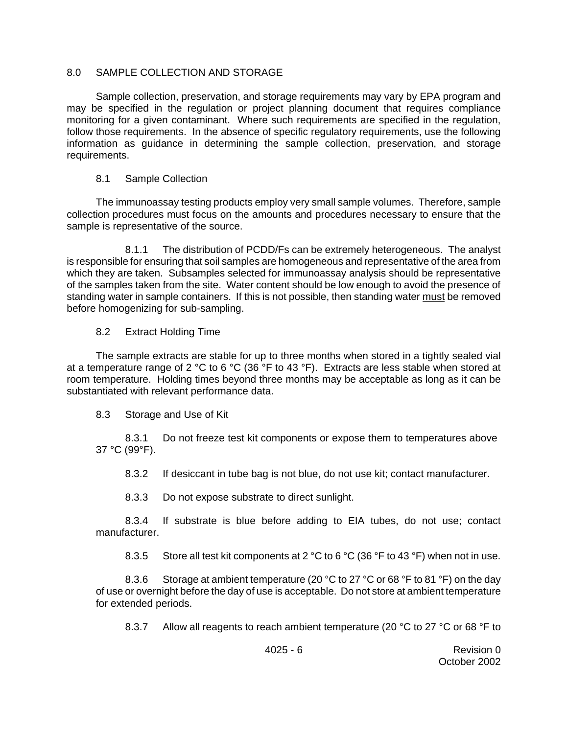## 8.0 SAMPLE COLLECTION AND STORAGE

Sample collection, preservation, and storage requirements may vary by EPA program and may be specified in the regulation or project planning document that requires compliance monitoring for a given contaminant. Where such requirements are specified in the regulation, follow those requirements. In the absence of specific regulatory requirements, use the following information as guidance in determining the sample collection, preservation, and storage requirements.

## 8.1 Sample Collection

The immunoassay testing products employ very small sample volumes. Therefore, sample collection procedures must focus on the amounts and procedures necessary to ensure that the sample is representative of the source.

8.1.1 The distribution of PCDD/Fs can be extremely heterogeneous. The analyst is responsible for ensuring that soil samples are homogeneous and representative of the area from which they are taken. Subsamples selected for immunoassay analysis should be representative of the samples taken from the site. Water content should be low enough to avoid the presence of standing water in sample containers. If this is not possible, then standing water must be removed before homogenizing for sub-sampling.

## 8.2 Extract Holding Time

The sample extracts are stable for up to three months when stored in a tightly sealed vial at a temperature range of 2 °C to 6 °C (36 °F to 43 °F). Extracts are less stable when stored at room temperature. Holding times beyond three months may be acceptable as long as it can be substantiated with relevant performance data.

### 8.3 Storage and Use of Kit

8.3.1 Do not freeze test kit components or expose them to temperatures above 37 °C (99°F).

8.3.2 If desiccant in tube bag is not blue, do not use kit; contact manufacturer.

8.3.3 Do not expose substrate to direct sunlight.

8.3.4 If substrate is blue before adding to EIA tubes, do not use; contact manufacturer.

8.3.5 Store all test kit components at 2  $\rm{^{\circ}C}$  to 6  $\rm{^{\circ}C}$  (36  $\rm{^{\circ}F}$  to 43  $\rm{^{\circ}F}$ ) when not in use.

8.3.6 Storage at ambient temperature (20 °C to 27 °C or 68 °F to 81 °F) on the day of use or overnight before the day of use is acceptable. Do not store at ambient temperature for extended periods.

8.3.7 Allow all reagents to reach ambient temperature (20 °C to 27 °C or 68 °F to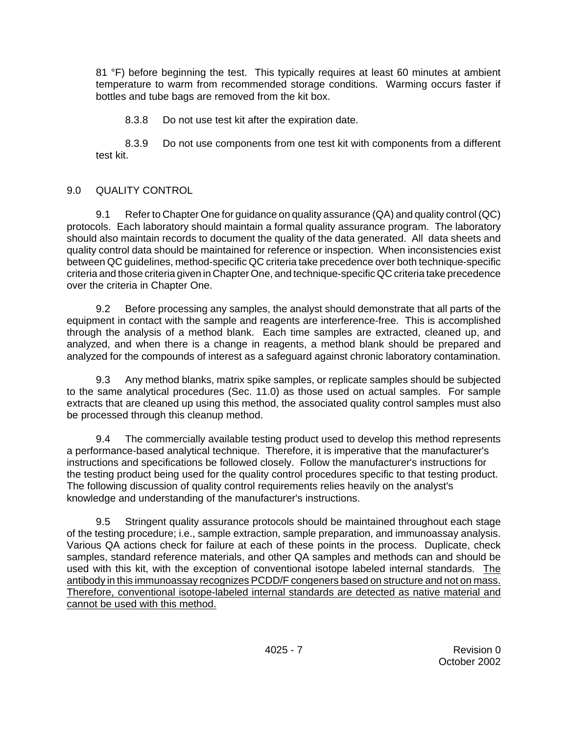81 °F) before beginning the test. This typically requires at least 60 minutes at ambient temperature to warm from recommended storage conditions. Warming occurs faster if bottles and tube bags are removed from the kit box.

8.3.8 Do not use test kit after the expiration date.

8.3.9 Do not use components from one test kit with components from a different test kit.

# 9.0 QUALITY CONTROL

9.1 Refer to Chapter One for guidance on quality assurance (QA) and quality control (QC) protocols. Each laboratory should maintain a formal quality assurance program. The laboratory should also maintain records to document the quality of the data generated. All data sheets and quality control data should be maintained for reference or inspection. When inconsistencies exist between QC guidelines, method-specific QC criteria take precedence over both technique-specific criteria and those criteria given in Chapter One, and technique-specific QC criteria take precedence over the criteria in Chapter One.

9.2 Before processing any samples, the analyst should demonstrate that all parts of the equipment in contact with the sample and reagents are interference-free. This is accomplished through the analysis of a method blank. Each time samples are extracted, cleaned up, and analyzed, and when there is a change in reagents, a method blank should be prepared and analyzed for the compounds of interest as a safeguard against chronic laboratory contamination.

9.3 Any method blanks, matrix spike samples, or replicate samples should be subjected to the same analytical procedures (Sec. 11.0) as those used on actual samples. For sample extracts that are cleaned up using this method, the associated quality control samples must also be processed through this cleanup method.

9.4 The commercially available testing product used to develop this method represents a performance-based analytical technique. Therefore, it is imperative that the manufacturer's instructions and specifications be followed closely. Follow the manufacturer's instructions for the testing product being used for the quality control procedures specific to that testing product. The following discussion of quality control requirements relies heavily on the analyst's knowledge and understanding of the manufacturer's instructions.

9.5 Stringent quality assurance protocols should be maintained throughout each stage of the testing procedure; i.e., sample extraction, sample preparation, and immunoassay analysis. Various QA actions check for failure at each of these points in the process. Duplicate, check samples, standard reference materials, and other QA samples and methods can and should be used with this kit, with the exception of conventional isotope labeled internal standards. The antibody in this immunoassay recognizes PCDD/F congeners based on structure and not on mass. Therefore, conventional isotope-labeled internal standards are detected as native material and cannot be used with this method.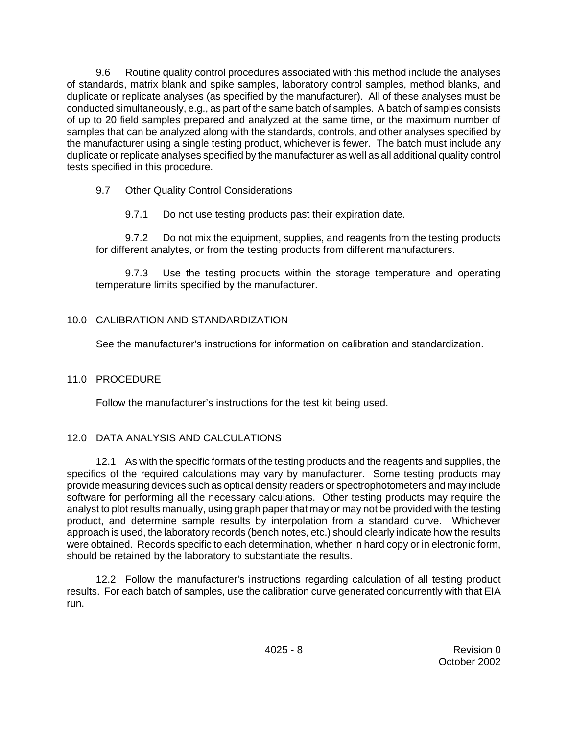9.6 Routine quality control procedures associated with this method include the analyses of standards, matrix blank and spike samples, laboratory control samples, method blanks, and duplicate or replicate analyses (as specified by the manufacturer). All of these analyses must be conducted simultaneously, e.g., as part of the same batch of samples. A batch of samples consists of up to 20 field samples prepared and analyzed at the same time, or the maximum number of samples that can be analyzed along with the standards, controls, and other analyses specified by the manufacturer using a single testing product, whichever is fewer. The batch must include any duplicate or replicate analyses specified by the manufacturer as well as all additional quality control tests specified in this procedure.

9.7 Other Quality Control Considerations

9.7.1 Do not use testing products past their expiration date.

9.7.2 Do not mix the equipment, supplies, and reagents from the testing products for different analytes, or from the testing products from different manufacturers.

9.7.3 Use the testing products within the storage temperature and operating temperature limits specified by the manufacturer.

# 10.0 CALIBRATION AND STANDARDIZATION

See the manufacturer's instructions for information on calibration and standardization.

# 11.0 PROCEDURE

Follow the manufacturer's instructions for the test kit being used.

# 12.0 DATA ANALYSIS AND CALCULATIONS

12.1 As with the specific formats of the testing products and the reagents and supplies, the specifics of the required calculations may vary by manufacturer. Some testing products may provide measuring devices such as optical density readers or spectrophotometers and may include software for performing all the necessary calculations. Other testing products may require the analyst to plot results manually, using graph paper that may or may not be provided with the testing product, and determine sample results by interpolation from a standard curve. Whichever approach is used, the laboratory records (bench notes, etc.) should clearly indicate how the results were obtained. Records specific to each determination, whether in hard copy or in electronic form, should be retained by the laboratory to substantiate the results.

12.2 Follow the manufacturer's instructions regarding calculation of all testing product results. For each batch of samples, use the calibration curve generated concurrently with that EIA run.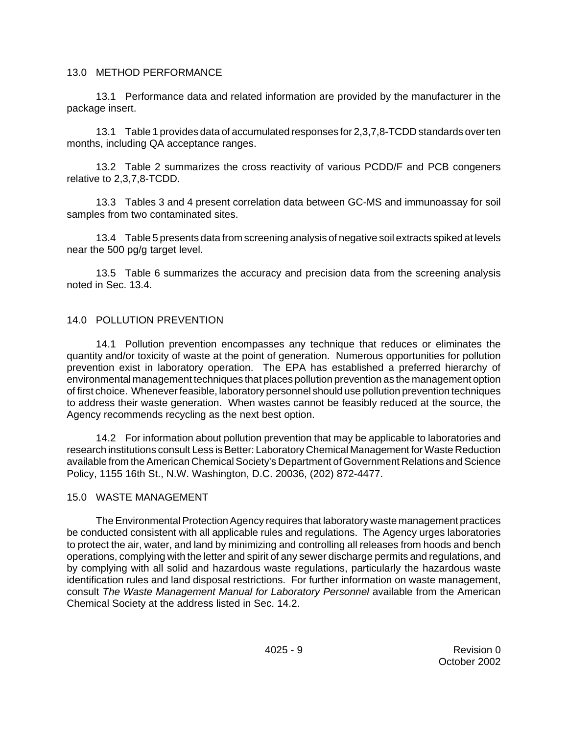### 13.0 METHOD PERFORMANCE

13.1 Performance data and related information are provided by the manufacturer in the package insert.

13.1 Table 1 provides data of accumulated responses for 2,3,7,8-TCDD standards over ten months, including QA acceptance ranges.

13.2 Table 2 summarizes the cross reactivity of various PCDD/F and PCB congeners relative to 2,3,7,8-TCDD.

13.3 Tables 3 and 4 present correlation data between GC-MS and immunoassay for soil samples from two contaminated sites.

13.4 Table 5 presents data from screening analysis of negative soil extracts spiked at levels near the 500 pg/g target level.

13.5 Table 6 summarizes the accuracy and precision data from the screening analysis noted in Sec. 13.4.

## 14.0 POLLUTION PREVENTION

14.1 Pollution prevention encompasses any technique that reduces or eliminates the quantity and/or toxicity of waste at the point of generation. Numerous opportunities for pollution prevention exist in laboratory operation. The EPA has established a preferred hierarchy of environmental management techniques that places pollution prevention as the management option of first choice. Whenever feasible, laboratory personnel should use pollution prevention techniques to address their waste generation. When wastes cannot be feasibly reduced at the source, the Agency recommends recycling as the next best option.

14.2 For information about pollution prevention that may be applicable to laboratories and research institutions consult Less is Better: Laboratory Chemical Management for Waste Reduction available from the American Chemical Society's Department of Government Relations and Science Policy, 1155 16th St., N.W. Washington, D.C. 20036, (202) 872-4477.

### 15.0 WASTE MANAGEMENT

The Environmental Protection Agency requires that laboratory waste management practices be conducted consistent with all applicable rules and regulations. The Agency urges laboratories to protect the air, water, and land by minimizing and controlling all releases from hoods and bench operations, complying with the letter and spirit of any sewer discharge permits and regulations, and by complying with all solid and hazardous waste regulations, particularly the hazardous waste identification rules and land disposal restrictions. For further information on waste management, consult *The Waste Management Manual for Laboratory Personnel* available from the American Chemical Society at the address listed in Sec. 14.2.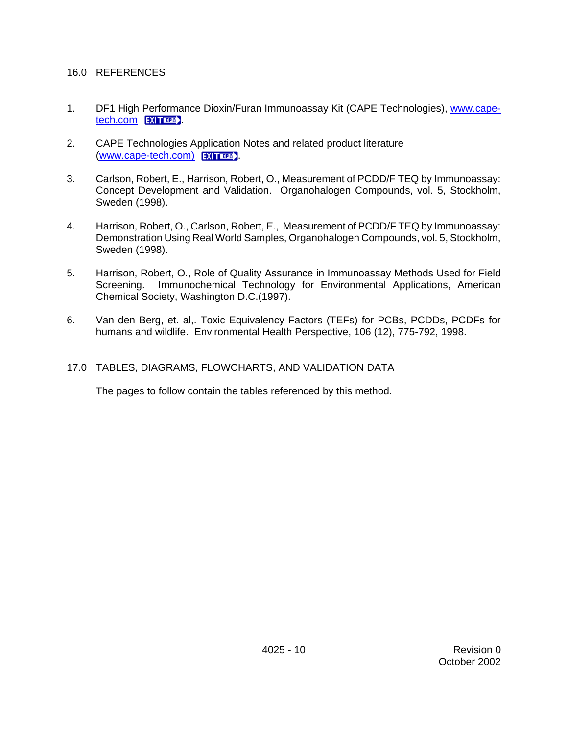#### 16.0 REFERENCES

- 1. DF1 High Performance Dioxin/Furan Immunoassay Kit (CAPE Technologies), [www.cape](http://www.cape-tech.com)[tech.com](http://www.cape-tech.com) **EXITER**
- 2. CAPE Technologies Application Notes and related product literature [\(www.cape-tech.com\)](http://www.cape-tech.com) **EXITTER**
- 3. Carlson, Robert, E., Harrison, Robert, O., Measurement of PCDD/F TEQ by Immunoassay: Concept Development and Validation. Organohalogen Compounds, vol. 5, Stockholm, Sweden (1998).
- 4. Harrison, Robert, O., Carlson, Robert, E., Measurement of PCDD/F TEQ by Immunoassay: Demonstration Using Real World Samples, Organohalogen Compounds, vol. 5, Stockholm, Sweden (1998).
- 5. Harrison, Robert, O., Role of Quality Assurance in Immunoassay Methods Used for Field Screening. Immunochemical Technology for Environmental Applications, American Chemical Society, Washington D.C.(1997).
- 6. Van den Berg, et. al,. Toxic Equivalency Factors (TEFs) for PCBs, PCDDs, PCDFs for humans and wildlife. Environmental Health Perspective, 106 (12), 775-792, 1998.
- 17.0 TABLES, DIAGRAMS, FLOWCHARTS, AND VALIDATION DATA

The pages to follow contain the tables referenced by this method.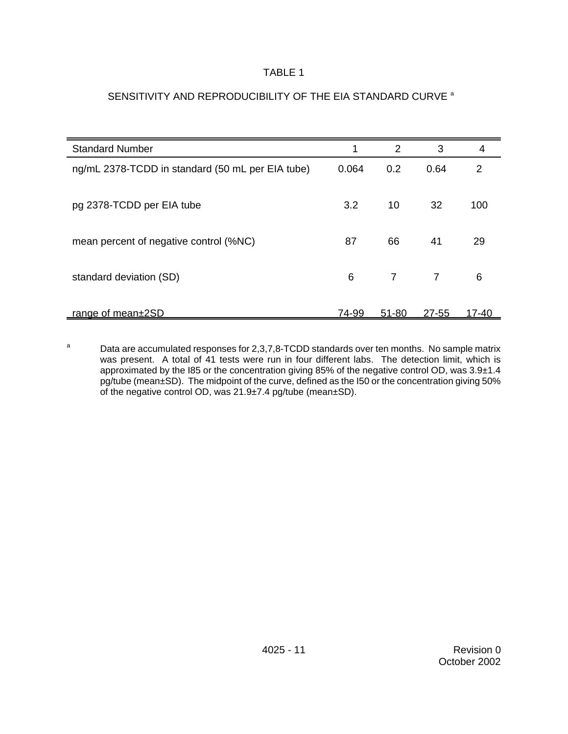### SENSITIVITY AND REPRODUCIBILITY OF THE EIA STANDARD CURVE a

| <b>Standard Number</b>                           |       | 2              | 3              | 4     |
|--------------------------------------------------|-------|----------------|----------------|-------|
| ng/mL 2378-TCDD in standard (50 mL per EIA tube) | 0.064 | 0.2            | 0.64           | 2     |
| pg 2378-TCDD per EIA tube                        | 3.2   | 10             | 32             | 100   |
| mean percent of negative control (%NC)           | 87    | 66             | 41             | 29    |
| standard deviation (SD)                          | 6     | $\overline{7}$ | $\overline{7}$ | 6     |
| range of mean±2SD                                | 74-99 | 51-80          | $27 - 55$      | 17-40 |

 $a$  Data are accumulated responses for 2,3,7,8-TCDD standards over ten months. No sample matrix was present. A total of 41 tests were run in four different labs. The detection limit, which is approximated by the I85 or the concentration giving 85% of the negative control OD, was 3.9±1.4 pg/tube (mean±SD). The midpoint of the curve, defined as the I50 or the concentration giving 50% of the negative control OD, was 21.9±7.4 pg/tube (mean±SD).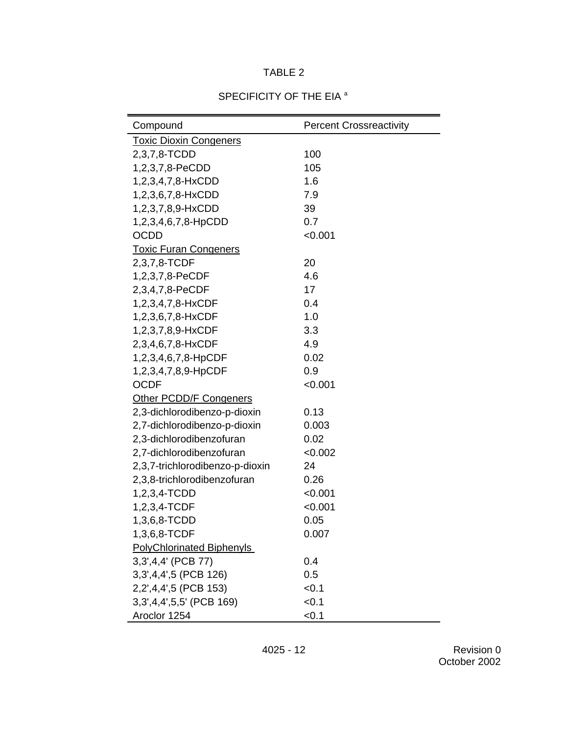## Compound **Percent Crossreactivity** Toxic Dioxin Congeners 2,3,7,8-TCDD 100 1,2,3,7,8-PeCDD 105 1,2,3,4,7,8-HxCDD 1.6 1,2,3,6,7,8-HxCDD 7.9 1,2,3,7,8,9-HxCDD 39 1,2,3,4,6,7,8-HpCDD 0.7 OCDD <0.001 Toxic Furan Congeners 2,3,7,8-TCDF 20 1,2,3,7,8-PeCDF 4.6 2,3,4,7,8-PeCDF 17 1,2,3,4,7,8-HxCDF 0.4 1,2,3,6,7,8-HxCDF 1.0 1,2,3,7,8,9-HxCDF 3.3 2,3,4,6,7,8-HxCDF 4.9 1,2,3,4,6,7,8-HpCDF 0.02 1,2,3,4,7,8,9-HpCDF 0.9 OCDF <0.001 Other PCDD/F Congeners 2,3-dichlorodibenzo-p-dioxin 0.13 2,7-dichlorodibenzo-p-dioxin 0.003 2,3-dichlorodibenzofuran 0.02 2,7-dichlorodibenzofuran <0.002 2,3,7-trichlorodibenzo-p-dioxin 24 2,3,8-trichlorodibenzofuran 0.26 1,2,3,4-TCDD <0.001 1,2,3,4-TCDF <0.001 1,3,6,8-TCDD 0.05 1,3,6,8-TCDF 0.007 PolyChlorinated Biphenyls 3,3',4,4' (PCB 77) 0.4 3,3',4,4',5 (PCB 126) 0.5 2,2',4,4',5 (PCB 153) <0.1 3,3',4,4',5,5' (PCB 169) <0.1 Aroclor 1254 <0.1

#### SPECIFICITY OF THE EIA<sup>a</sup>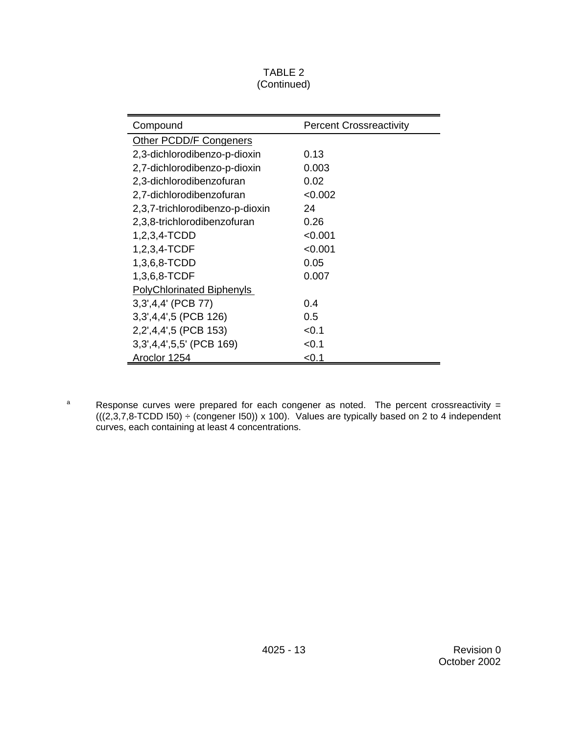### TABLE 2 (Continued)

| Compound                         | <b>Percent Crossreactivity</b> |
|----------------------------------|--------------------------------|
| Other PCDD/F Congeners           |                                |
| 2,3-dichlorodibenzo-p-dioxin     | 0.13                           |
| 2,7-dichlorodibenzo-p-dioxin     | 0.003                          |
| 2,3-dichlorodibenzofuran         | 0.02                           |
| 2,7-dichlorodibenzofuran         | < 0.002                        |
| 2,3,7-trichlorodibenzo-p-dioxin  | 24                             |
| 2,3,8-trichlorodibenzofuran      | 0.26                           |
| 1,2,3,4-TCDD                     | < 0.001                        |
| 1,2,3,4-TCDF                     | < 0.001                        |
| 1,3,6,8-TCDD                     | 0.05                           |
| 1,3,6,8-TCDF                     | 0.007                          |
| <b>PolyChlorinated Biphenyls</b> |                                |
| 3,3',4,4' (PCB 77)               | 0.4                            |
| 3, 3, 4, 4, 5 (PCB 126)          | 0.5                            |
| 2,2',4,4',5 (PCB 153)            | < 0.1                          |
| 3,3',4,4',5,5' (PCB 169)         | < 0.1                          |
| Aroclor 1254                     | < 0.1                          |

<sup>a</sup> Response curves were prepared for each congener as noted. The percent crossreactivity =  $(((2,3,7,8\text{-TCDD 150}) \div ( \text{congener 150}) ) \times 100).$  Values are typically based on 2 to 4 independent curves, each containing at least 4 concentrations.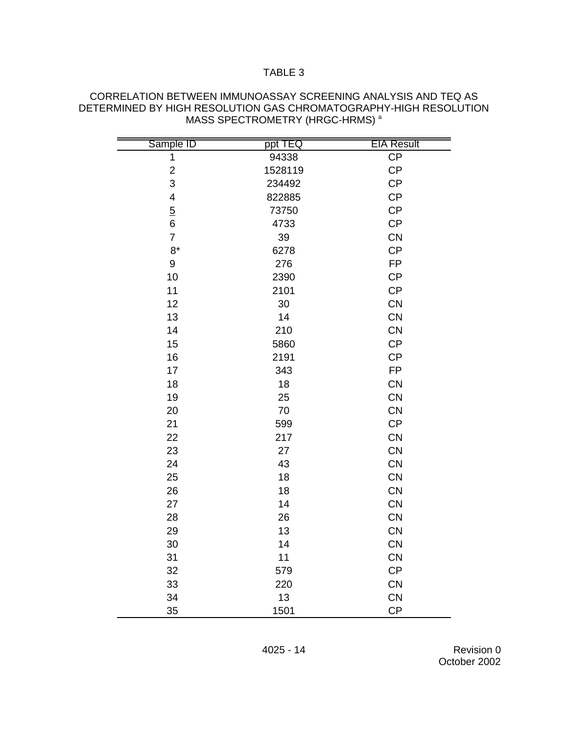| Sample ID        | ppt TEQ | <b>EIA Result</b> |
|------------------|---------|-------------------|
| 1                | 94338   | CP                |
| $\overline{c}$   | 1528119 | CP                |
| 3                | 234492  | CP                |
| 4                | 822885  | CP                |
| $\overline{5}$   | 73750   | CP                |
| $\, 6$           | 4733    | <b>CP</b>         |
| $\overline{7}$   | 39      | CN                |
| $8*$             | 6278    | <b>CP</b>         |
| $\boldsymbol{9}$ | 276     | <b>FP</b>         |
| 10               | 2390    | CP                |
| 11               | 2101    | CP                |
| 12               | 30      | CN                |
| 13               | 14      | CN                |
| 14               | 210     | CN                |
| 15               | 5860    | CP                |
| 16               | 2191    | CP                |
| 17               | 343     | <b>FP</b>         |
| 18               | 18      | <b>CN</b>         |
| 19               | 25      | CN                |
| 20               | 70      | CN                |
| 21               | 599     | CP                |
| 22               | 217     | <b>CN</b>         |
| 23               | 27      | <b>CN</b>         |
| 24               | 43      | <b>CN</b>         |
| 25               | 18      | <b>CN</b>         |
| 26               | 18      | CN                |
| 27               | 14      | CN                |
| 28               | 26      | <b>CN</b>         |
| 29               | 13      | <b>CN</b>         |
| 30               | 14      | <b>CN</b>         |
| 31               | 11      | <b>CN</b>         |
| 32               | 579     | CP                |
| 33               | 220     | CN                |
| 34               | 13      | CN                |
| 35               | 1501    | CP                |

#### CORRELATION BETWEEN IMMUNOASSAY SCREENING ANALYSIS AND TEQ AS DETERMINED BY HIGH RESOLUTION GAS CHROMATOGRAPHY-HIGH RESOLUTION MASS SPECTROMETRY (HRGC-HRMS)<sup>a</sup>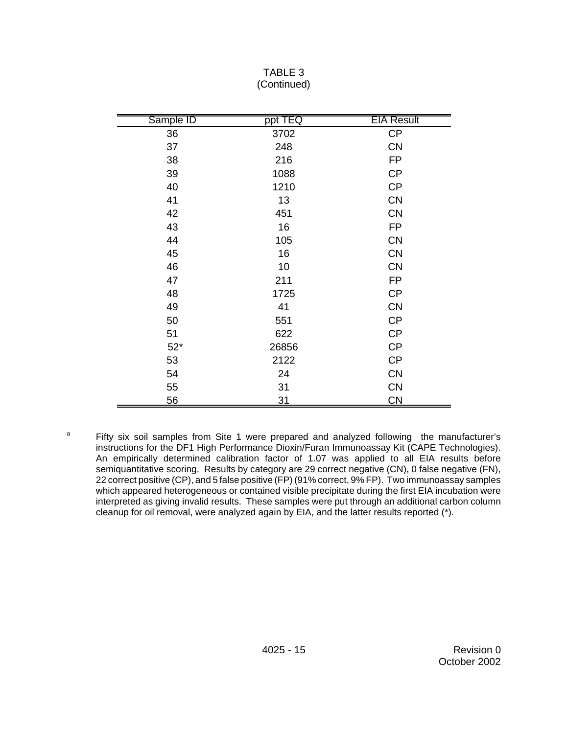| Sample ID | ppt TEQ   | <b>EIA Result</b>      |
|-----------|-----------|------------------------|
| 36        | 3702      | CP                     |
| 37        | 248       | <b>CN</b>              |
| 38        | 216       | <b>FP</b>              |
| 39        | 1088      | <b>CP</b>              |
| 40        | 1210      | CP                     |
| 41        | 13        | CN                     |
| 42        | 451       | CN                     |
| 43        | 16        | <b>FP</b>              |
| 44        | 105       | CN                     |
| 45        | 16        | <b>CN</b>              |
| 46        | 10        | <b>CN</b>              |
| 47        | 211       | <b>FP</b>              |
| 48        | 1725      | <b>CP</b>              |
| 49        | 41        | CN                     |
| 50        | 551       | <b>CP</b>              |
| 51        | 622       | CP                     |
| $52*$     | 26856     | <b>CP</b>              |
| 53        | 2122      | CP                     |
| 54        | 24        | <b>CN</b>              |
| 55        | 31        | <b>CN</b>              |
| 56        | <u>31</u> | $\overline{\text{CN}}$ |

#### TABLE 3 (Continued)

<sup>&</sup>lt;sup>a</sup> Fifty six soil samples from Site 1 were prepared and analyzed following the manufacturer's instructions for the DF1 High Performance Dioxin/Furan Immunoassay Kit (CAPE Technologies). An empirically determined calibration factor of 1.07 was applied to all EIA results before semiquantitative scoring. Results by category are 29 correct negative (CN), 0 false negative (FN), 22 correct positive (CP), and 5 false positive (FP) (91% correct, 9% FP). Two immunoassay samples which appeared heterogeneous or contained visible precipitate during the first EIA incubation were interpreted as giving invalid results. These samples were put through an additional carbon column cleanup for oil removal, were analyzed again by EIA, and the latter results reported (\*).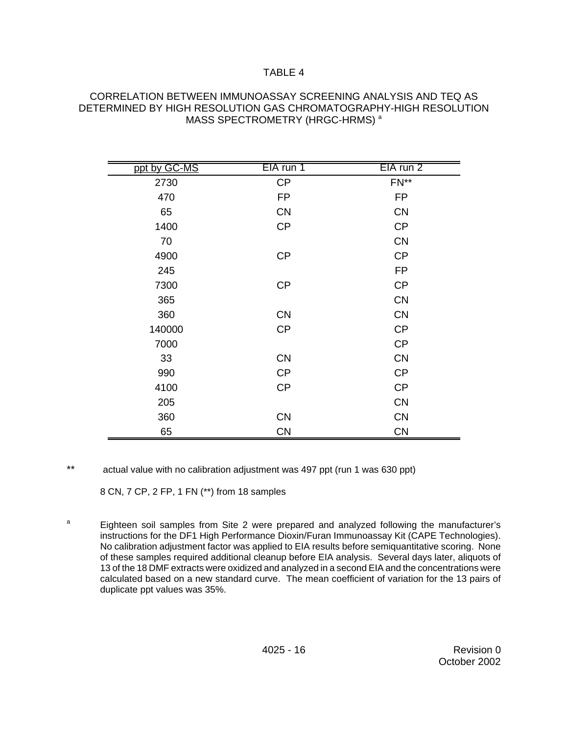#### CORRELATION BETWEEN IMMUNOASSAY SCREENING ANALYSIS AND TEQ AS DETERMINED BY HIGH RESOLUTION GAS CHROMATOGRAPHY-HIGH RESOLUTION MASS SPECTROMETRY (HRGC-HRMS)<sup>a</sup>

| ppt by GC-MS | EIA run 1 | EIA run 2 |
|--------------|-----------|-----------|
| 2730         | CP        | $FN**$    |
| 470          | <b>FP</b> | <b>FP</b> |
| 65           | <b>CN</b> | <b>CN</b> |
| 1400         | <b>CP</b> | <b>CP</b> |
| 70           |           | <b>CN</b> |
| 4900         | CP        | <b>CP</b> |
| 245          |           | <b>FP</b> |
| 7300         | CP        | <b>CP</b> |
| 365          |           | <b>CN</b> |
| 360          | <b>CN</b> | <b>CN</b> |
| 140000       | <b>CP</b> | <b>CP</b> |
| 7000         |           | <b>CP</b> |
| 33           | <b>CN</b> | <b>CN</b> |
| 990          | <b>CP</b> | <b>CP</b> |
| 4100         | CP        | CP        |
| 205          |           | <b>CN</b> |
| 360          | <b>CN</b> | <b>CN</b> |
| 65           | <b>CN</b> | <b>CN</b> |

\*\* actual value with no calibration adjustment was 497 ppt (run 1 was 630 ppt)

8 CN, 7 CP, 2 FP, 1 FN (\*\*) from 18 samples

<sup>a</sup> Eighteen soil samples from Site 2 were prepared and analyzed following the manufacturer's instructions for the DF1 High Performance Dioxin/Furan Immunoassay Kit (CAPE Technologies). No calibration adjustment factor was applied to EIA results before semiquantitative scoring. None of these samples required additional cleanup before EIA analysis. Several days later, aliquots of 13 of the 18 DMF extracts were oxidized and analyzed in a second EIA and the concentrations were calculated based on a new standard curve. The mean coefficient of variation for the 13 pairs of duplicate ppt values was 35%.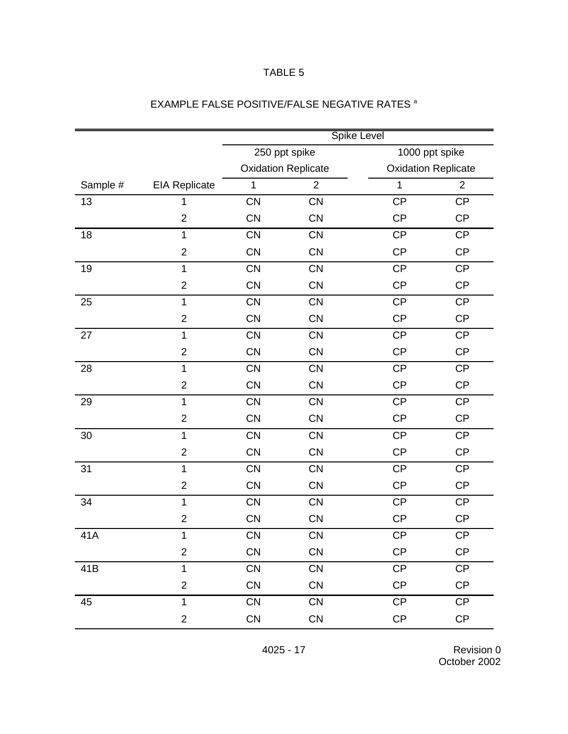|          |                      | <b>Spike Level</b>         |                |                            |                |
|----------|----------------------|----------------------------|----------------|----------------------------|----------------|
|          |                      | 250 ppt spike              |                | 1000 ppt spike             |                |
|          |                      | <b>Oxidation Replicate</b> |                | <b>Oxidation Replicate</b> |                |
| Sample # | <b>EIA Replicate</b> | 1                          | $\overline{2}$ | $\mathbf 1$                | $\overline{2}$ |
| 13       | 1                    | CN                         | <b>CN</b>      | <b>CP</b>                  | <b>CP</b>      |
|          | $\overline{2}$       | <b>CN</b>                  | <b>CN</b>      | <b>CP</b>                  | <b>CP</b>      |
| 18       | $\mathbf{1}$         | <b>CN</b>                  | CN             | <b>CP</b>                  | CP             |
|          | $\overline{2}$       | CN                         | <b>CN</b>      | <b>CP</b>                  | CP             |
| 19       | $\mathbf{1}$         | CN                         | CN             | <b>CP</b>                  | <b>CP</b>      |
|          | $\overline{2}$       | CN                         | <b>CN</b>      | <b>CP</b>                  | <b>CP</b>      |
| 25       | $\mathbf{1}$         | CN                         | CN             | <b>CP</b>                  | CP             |
|          | $\overline{2}$       | CN                         | <b>CN</b>      | <b>CP</b>                  | CP             |
| 27       | $\mathbf{1}$         | CN                         | CN             | <b>CP</b>                  | CP             |
|          | $\overline{2}$       | CN                         | <b>CN</b>      | <b>CP</b>                  | <b>CP</b>      |
| 28       | $\mathbf{1}$         | CN                         | CN             | <b>CP</b>                  | CP             |
|          | $\overline{2}$       | <b>CN</b>                  | <b>CN</b>      | <b>CP</b>                  | CP             |
| 29       | $\mathbf{1}$         | CN                         | CN             | <b>CP</b>                  | CP             |
|          | $\overline{2}$       | <b>CN</b>                  | <b>CN</b>      | <b>CP</b>                  | <b>CP</b>      |
| 30       | $\mathbf{1}$         | CN                         | CN             | <b>CP</b>                  | CP             |
|          | $\overline{2}$       | <b>CN</b>                  | <b>CN</b>      | <b>CP</b>                  | CP             |
| 31       | $\mathbf{1}$         | <b>CN</b>                  | CN             | <b>CP</b>                  | CP             |
|          | $\overline{2}$       | <b>CN</b>                  | <b>CN</b>      | CP                         | CP             |
| 34       | $\mathbf{1}$         | CN                         | CN             | <b>CP</b>                  | CP             |
|          | $\overline{2}$       | <b>CN</b>                  | <b>CN</b>      | <b>CP</b>                  | <b>CP</b>      |
| 41A      | $\mathbf 1$          | CN                         | CN             | CP                         | <b>CP</b>      |
|          | $\overline{2}$       | <b>CN</b>                  | CN             | CP                         | CP             |
| 41B      | $\mathbf{1}$         | <b>CN</b>                  | CN             | CP                         | CP             |
|          | $\mathbf{2}$         | <b>CN</b>                  | CN             | CP                         | CP             |
| 45       | $\mathbf{1}$         | <b>CN</b>                  | CN             | CP                         | CP             |
|          | $\overline{2}$       | CN                         | CN             | $\mathsf{CP}$              | CP             |

# EXAMPLE FALSE POSITIVE/FALSE NEGATIVE RATES<sup>a</sup>

4025 - 17 Revision 0 October 2002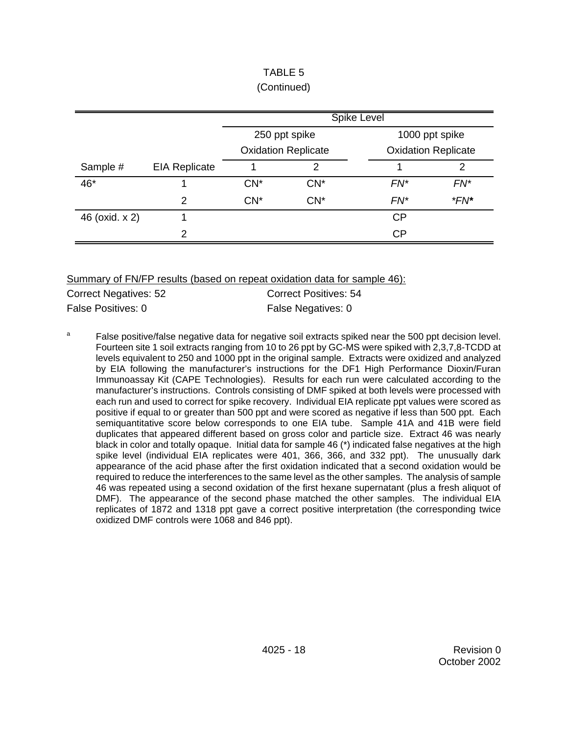|                |                      | <b>Spike Level</b>         |        |                            |        |
|----------------|----------------------|----------------------------|--------|----------------------------|--------|
|                |                      | 250 ppt spike              |        | 1000 ppt spike             |        |
|                |                      | <b>Oxidation Replicate</b> |        | <b>Oxidation Replicate</b> |        |
| Sample #       | <b>EIA Replicate</b> |                            | っ      |                            | າ      |
| 46*            |                      | $CN^*$                     | $CN^*$ | $FN^*$                     | $FN^*$ |
|                | $\mathfrak{p}$       | $CN^*$                     | $CN^*$ | $FN^*$                     | $*FN*$ |
| 46 (oxid. x 2) |                      |                            |        | <b>CP</b>                  |        |
|                | っ                    |                            |        | CP                         |        |

## TABLE 5 (Continued)

Summary of FN/FP results (based on repeat oxidation data for sample 46):

| Correct Negatives: 52 | <b>Correct Positives: 54</b> |
|-----------------------|------------------------------|
| False Positives: 0    | False Negatives: 0           |

<sup>a</sup> False positive/false negative data for negative soil extracts spiked near the 500 ppt decision level. Fourteen site 1 soil extracts ranging from 10 to 26 ppt by GC-MS were spiked with 2,3,7,8-TCDD at levels equivalent to 250 and 1000 ppt in the original sample. Extracts were oxidized and analyzed by EIA following the manufacturer's instructions for the DF1 High Performance Dioxin/Furan Immunoassay Kit (CAPE Technologies). Results for each run were calculated according to the manufacturer's instructions. Controls consisting of DMF spiked at both levels were processed with each run and used to correct for spike recovery. Individual EIA replicate ppt values were scored as positive if equal to or greater than 500 ppt and were scored as negative if less than 500 ppt. Each semiquantitative score below corresponds to one EIA tube. Sample 41A and 41B were field duplicates that appeared different based on gross color and particle size. Extract 46 was nearly black in color and totally opaque. Initial data for sample 46 (\*) indicated false negatives at the high spike level (individual EIA replicates were 401, 366, 366, and 332 ppt). The unusually dark appearance of the acid phase after the first oxidation indicated that a second oxidation would be required to reduce the interferences to the same level as the other samples. The analysis of sample 46 was repeated using a second oxidation of the first hexane supernatant (plus a fresh aliquot of DMF). The appearance of the second phase matched the other samples. The individual EIA replicates of 1872 and 1318 ppt gave a correct positive interpretation (the corresponding twice oxidized DMF controls were 1068 and 846 ppt).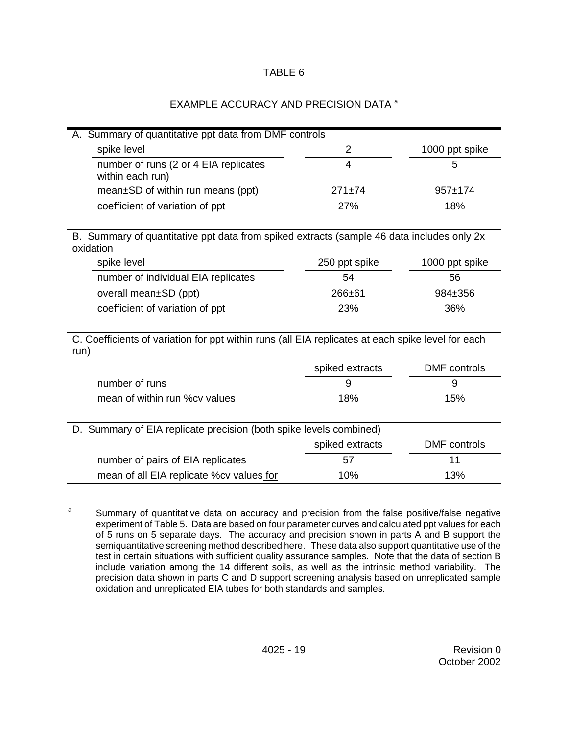## EXAMPLE ACCURACY AND PRECISION DATA<sup>a</sup>

| A. Summary of quantitative ppt data from DMF controls                                                     |                 |                     |  |  |
|-----------------------------------------------------------------------------------------------------------|-----------------|---------------------|--|--|
| spike level                                                                                               | $\overline{2}$  | 1000 ppt spike      |  |  |
| number of runs (2 or 4 EIA replicates<br>within each run)                                                 | 4               | 5                   |  |  |
| mean±SD of within run means (ppt)                                                                         | $271 \pm 74$    | $957+174$           |  |  |
| coefficient of variation of ppt                                                                           | 27%             | 18%                 |  |  |
|                                                                                                           |                 |                     |  |  |
| B. Summary of quantitative ppt data from spiked extracts (sample 46 data includes only 2x<br>oxidation    |                 |                     |  |  |
| spike level                                                                                               | 250 ppt spike   | 1000 ppt spike      |  |  |
| number of individual EIA replicates                                                                       | 54              | 56                  |  |  |
| overall mean±SD (ppt)                                                                                     | 266±61          | 984±356             |  |  |
| coefficient of variation of ppt                                                                           | 23%             | 36%                 |  |  |
|                                                                                                           |                 |                     |  |  |
| C. Coefficients of variation for ppt within runs (all EIA replicates at each spike level for each<br>run) |                 |                     |  |  |
|                                                                                                           | spiked extracts | <b>DMF</b> controls |  |  |
| number of runs                                                                                            | 9               | 9                   |  |  |
| mean of within run %cy values                                                                             | 18%             | 15%                 |  |  |
|                                                                                                           |                 |                     |  |  |
| D. Summary of EIA replicate precision (both spike levels combined)                                        |                 |                     |  |  |
|                                                                                                           | spiked extracts | <b>DMF</b> controls |  |  |
| number of pairs of EIA replicates                                                                         | 57              | 11                  |  |  |
| mean of all EIA replicate %cv values for                                                                  | 10%             | 13%                 |  |  |

<sup>a</sup> Summary of quantitative data on accuracy and precision from the false positive/false negative experiment of Table 5. Data are based on four parameter curves and calculated ppt values for each of 5 runs on 5 separate days. The accuracy and precision shown in parts A and B support the semiquantitative screening method described here. These data also support quantitative use of the test in certain situations with sufficient quality assurance samples. Note that the data of section B include variation among the 14 different soils, as well as the intrinsic method variability. The precision data shown in parts C and D support screening analysis based on unreplicated sample oxidation and unreplicated EIA tubes for both standards and samples.